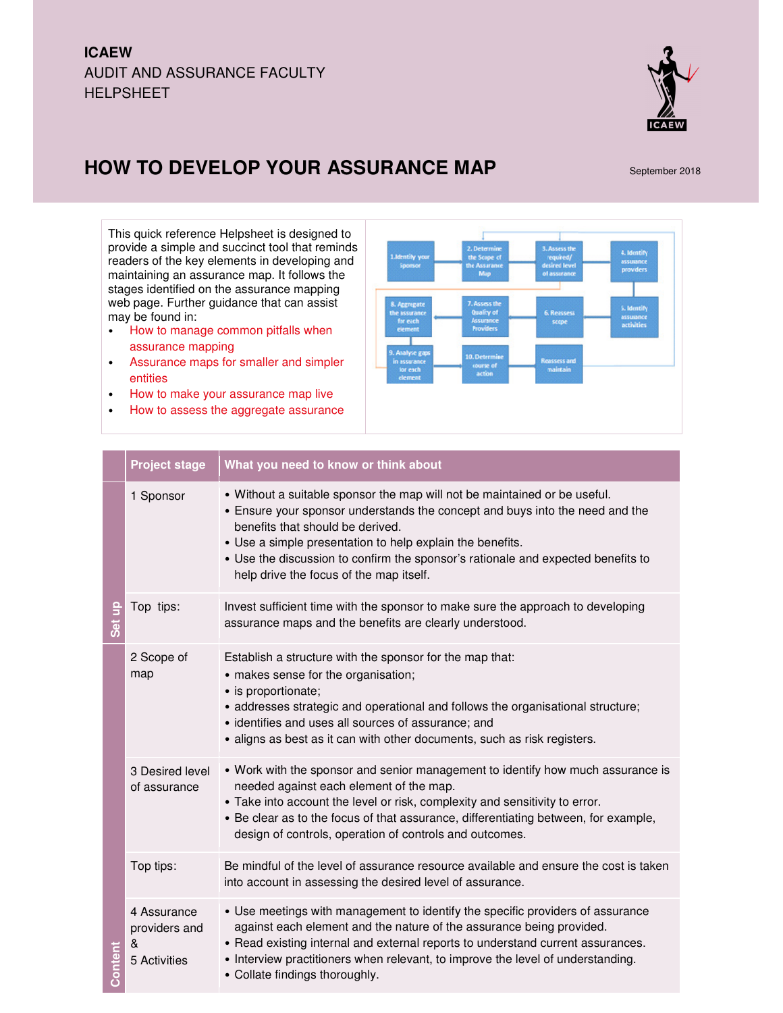## **ICAEW**  AUDIT AND ASSURANCE FACULTY HELPSHEET



## **HOW TO DEVELOP YOUR ASSURANCE MAP** September 2018

This quick reference Helpsheet is designed to provide a simple and succinct tool that reminds readers of the key elements in developing and maintaining an assurance map. It follows the stages identified on the assurance mapping web page. Further guidance that can assist may be found in:

- How to manage common pitfalls when assurance mapping
- Assurance maps for smaller and simpler entities
- How to make your assurance map live
- How to assess the aggregate assurance



|         | <b>Project stage</b>                              | What you need to know or think about                                                                                                                                                                                                                                                                                                                                                      |
|---------|---------------------------------------------------|-------------------------------------------------------------------------------------------------------------------------------------------------------------------------------------------------------------------------------------------------------------------------------------------------------------------------------------------------------------------------------------------|
|         | 1 Sponsor                                         | . Without a suitable sponsor the map will not be maintained or be useful.<br>• Ensure your sponsor understands the concept and buys into the need and the<br>benefits that should be derived.<br>• Use a simple presentation to help explain the benefits.<br>• Use the discussion to confirm the sponsor's rationale and expected benefits to<br>help drive the focus of the map itself. |
| Set up  | Top tips:                                         | Invest sufficient time with the sponsor to make sure the approach to developing<br>assurance maps and the benefits are clearly understood.                                                                                                                                                                                                                                                |
| Content | 2 Scope of<br>map                                 | Establish a structure with the sponsor for the map that:<br>• makes sense for the organisation;<br>· is proportionate;<br>• addresses strategic and operational and follows the organisational structure;<br>· identifies and uses all sources of assurance; and<br>• aligns as best as it can with other documents, such as risk registers.                                              |
|         | 3 Desired level<br>of assurance                   | • Work with the sponsor and senior management to identify how much assurance is<br>needed against each element of the map.<br>• Take into account the level or risk, complexity and sensitivity to error.<br>• Be clear as to the focus of that assurance, differentiating between, for example,<br>design of controls, operation of controls and outcomes.                               |
|         | Top tips:                                         | Be mindful of the level of assurance resource available and ensure the cost is taken<br>into account in assessing the desired level of assurance.                                                                                                                                                                                                                                         |
|         | 4 Assurance<br>providers and<br>&<br>5 Activities | • Use meetings with management to identify the specific providers of assurance<br>against each element and the nature of the assurance being provided.<br>• Read existing internal and external reports to understand current assurances.<br>• Interview practitioners when relevant, to improve the level of understanding.<br>• Collate findings thoroughly.                            |